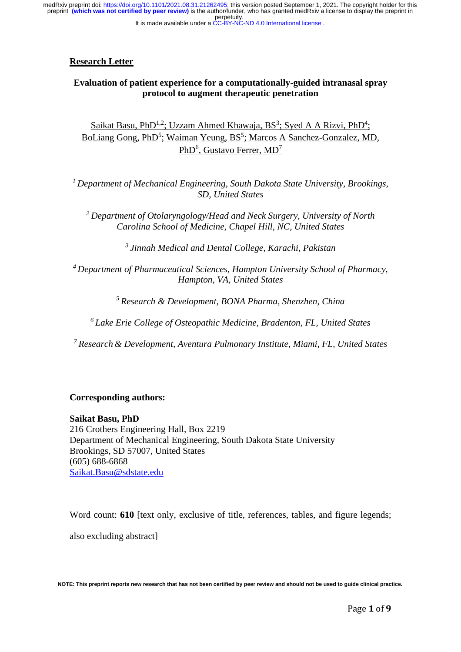perpetuity. preprint **(which was not certified by peer review)** is the author/funder, who has granted medRxiv a license to display the preprint in medRxiv preprint doi: [https://doi.org/10.1101/2021.08.31.21262495;](https://doi.org/10.1101/2021.08.31.21262495) this version posted September 1, 2021. The copyright holder for this

#### It is made available under a [CC-BY-NC-ND 4.0 International license](http://creativecommons.org/licenses/by-nc-nd/4.0/) .

## **Research Letter**

# **Evaluation of patient experience for a computationally-guided intranasal spray protocol to augment therapeutic penetration**

Saikat Basu, PhD<sup>1,2</sup>; Uzzam Ahmed Khawaja, BS<sup>3</sup>; Syed A A Rizvi, PhD<sup>4</sup>; BoLiang Gong, PhD<sup>5</sup>; Waiman Yeung, BS<sup>5</sup>; Marcos A Sanchez-Gonzalez, MD, PhD<sup>6</sup>, Gustavo Ferrer, MD<sup>7</sup>

*1 Department of Mechanical Engineering, South Dakota State University, Brookings, SD, United States* 

*2 Department of Otolaryngology/Head and Neck Surgery, University of North Carolina School of Medicine, Chapel Hill, NC, United States* 

*3 Jinnah Medical and Dental College, Karachi, Pakistan* 

*4 Department of Pharmaceutical Sciences, Hampton University School of Pharmacy, Hampton, VA, United States* 

*5 Research & Development, BONA Pharma, Shenzhen, China* 

*6 Lake Erie College of Osteopathic Medicine, Bradenton, FL, United States* 

*7 Research & Development, Aventura Pulmonary Institute, Miami, FL, United States* 

### **Corresponding authors:**

**Saikat Basu, PhD**  216 Crothers Engineering Hall, Box 2219 Department of Mechanical Engineering, South Dakota State University Brookings, SD 57007, United States (605) 688-6868 [Saikat.Basu@sdstate.edu](mailto:Saikat.Basu@sdstate.edu)

Word count: **610** [text only, exclusive of title, references, tables, and figure legends;

also excluding abstract]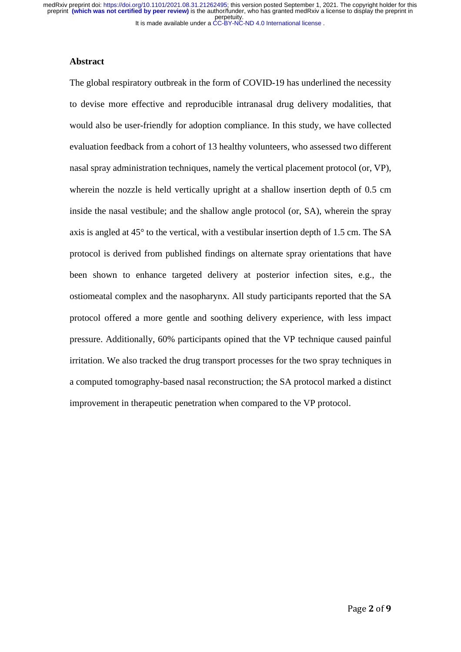### **Abstract**

The global respiratory outbreak in the form of COVID-19 has underlined the necessity to devise more effective and reproducible intranasal drug delivery modalities, that would also be user-friendly for adoption compliance. In this study, we have collected evaluation feedback from a cohort of 13 healthy volunteers, who assessed two different nasal spray administration techniques, namely the vertical placement protocol (or, VP), wherein the nozzle is held vertically upright at a shallow insertion depth of 0.5 cm inside the nasal vestibule; and the shallow angle protocol (or, SA), wherein the spray axis is angled at 45° to the vertical, with a vestibular insertion depth of 1.5 cm. The SA protocol is derived from published findings on alternate spray orientations that have been shown to enhance targeted delivery at posterior infection sites, e.g., the ostiomeatal complex and the nasopharynx. All study participants reported that the SA protocol offered a more gentle and soothing delivery experience, with less impact pressure. Additionally, 60% participants opined that the VP technique caused painful irritation. We also tracked the drug transport processes for the two spray techniques in a computed tomography-based nasal reconstruction; the SA protocol marked a distinct improvement in therapeutic penetration when compared to the VP protocol.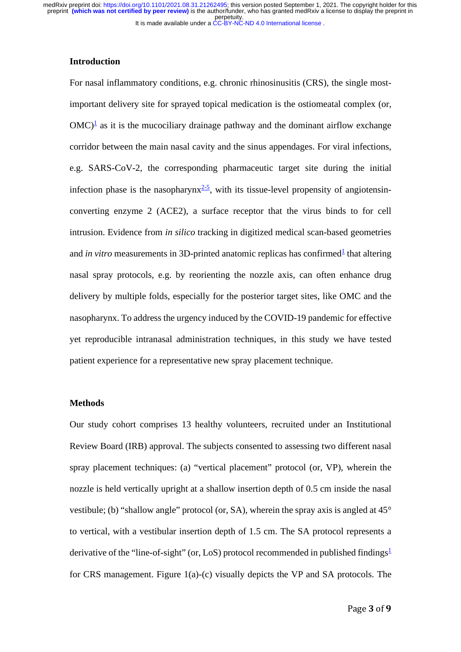### **Introduction**

For nasal inflammatory conditions, e.g. chronic rhinosinusitis (CRS), the single mostimportant delivery site for sprayed topical medication is the ostiomeatal complex (or,  $OMC)^{\frac{1}{2}}$  as it is the mucociliary drainage pathway and the dominant airflow exchange corridor between the main nasal cavity and the sinus appendages. For viral infections, e.g. SARS-CoV-2, the corresponding pharmaceutic target site during the initial infection phase is the nasopharynx $\frac{2-5}{5}$ , with its tissue-level propensity of angiotensinconverting enzyme 2 (ACE2), a surface receptor that the virus binds to for cell intrusion. Evidence from *in silico* tracking in digitized medical scan-based geometries and *in vitro* measurements in 3D-printed anatomic replicas has confirmed<sup>1</sup> that altering nasal spray protocols, e.g. by reorienting the nozzle axis, can often enhance drug delivery by multiple folds, especially for the posterior target sites, like OMC and the nasopharynx. To address the urgency induced by the COVID-19 pandemic for effective yet reproducible intranasal administration techniques, in this study we have tested patient experience for a representative new spray placement technique.

## **Methods**

Our study cohort comprises 13 healthy volunteers, recruited under an Institutional Review Board (IRB) approval. The subjects consented to assessing two different nasal spray placement techniques: (a) "vertical placement" protocol (or, VP), wherein the nozzle is held vertically upright at a shallow insertion depth of 0.5 cm inside the nasal vestibule; (b) "shallow angle" protocol (or, SA), wherein the spray axis is angled at 45° to vertical, with a vestibular insertion depth of 1.5 cm. The SA protocol represents a derivative of the "line-of-sight" (or, LoS) protocol recommended in published findings<sup>[1](#page-5-0)</sup> for CRS management. Figure 1(a)-(c) visually depicts the VP and SA protocols. The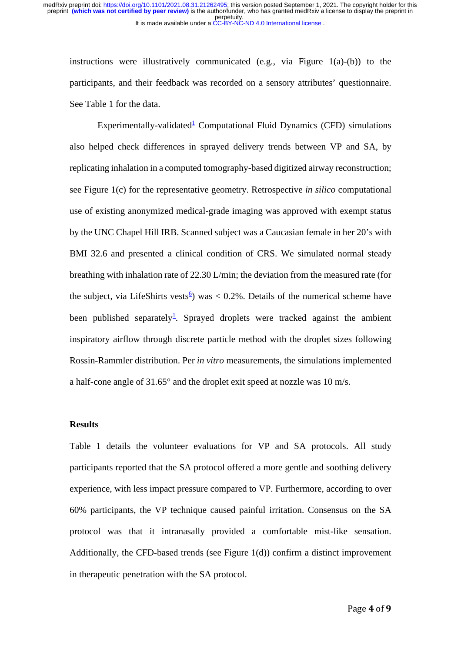instructions were illustratively communicated (e.g., via Figure 1(a)-(b)) to the participants, and their feedback was recorded on a sensory attributes' questionnaire. See Table 1 for the data.

Experimentally-validated<sup>[1](#page-5-0)</sup> Computational Fluid Dynamics (CFD) simulations also helped check differences in sprayed delivery trends between VP and SA, by replicating inhalation in a computed tomography-based digitized airway reconstruction; see Figure 1(c) for the representative geometry. Retrospective *in silico* computational use of existing anonymized medical-grade imaging was approved with exempt status by the UNC Chapel Hill IRB. Scanned subject was a Caucasian female in her 20's with BMI 32.6 and presented a clinical condition of CRS. We simulated normal steady breathing with inhalation rate of 22.30 L/min; the deviation from the measured rate (for the subject, via LifeShirts vests<sup>[6](#page-5-2)</sup>) was  $< 0.2\%$ . Details of the numerical scheme have been published separately<sup>1</sup>. Sprayed droplets were tracked against the ambient inspiratory airflow through discrete particle method with the droplet sizes following Rossin-Rammler distribution. Per *in vitro* measurements, the simulations implemented a half-cone angle of 31.65° and the droplet exit speed at nozzle was 10 m/s.

#### **Results**

Table 1 details the volunteer evaluations for VP and SA protocols. All study participants reported that the SA protocol offered a more gentle and soothing delivery experience, with less impact pressure compared to VP. Furthermore, according to over 60% participants, the VP technique caused painful irritation. Consensus on the SA protocol was that it intranasally provided a comfortable mist-like sensation. Additionally, the CFD-based trends (see Figure 1(d)) confirm a distinct improvement in therapeutic penetration with the SA protocol.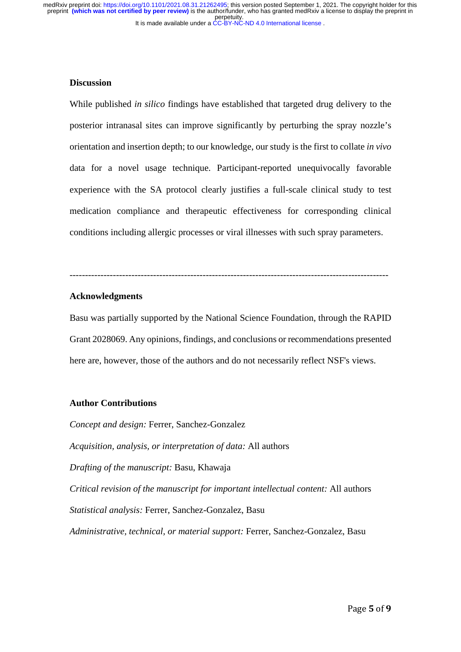## **Discussion**

While published *in silico* findings have established that targeted drug delivery to the posterior intranasal sites can improve significantly by perturbing the spray nozzle's orientation and insertion depth; to our knowledge, our study is the first to collate *in vivo* data for a novel usage technique. Participant-reported unequivocally favorable experience with the SA protocol clearly justifies a full-scale clinical study to test medication compliance and therapeutic effectiveness for corresponding clinical conditions including allergic processes or viral illnesses with such spray parameters.

-------------------------------------------------------------------------------------------------------

## **Acknowledgments**

Basu was partially supported by the National Science Foundation, through the RAPID Grant 2028069. Any opinions, findings, and conclusions or recommendations presented here are, however, those of the authors and do not necessarily reflect NSF's views.

## **Author Contributions**

*Concept and design:* Ferrer, Sanchez-Gonzalez *Acquisition, analysis, or interpretation of data:* All authors *Drafting of the manuscript:* Basu, Khawaja *Critical revision of the manuscript for important intellectual content:* All authors *Statistical analysis:* Ferrer, Sanchez-Gonzalez, Basu *Administrative, technical, or material support:* Ferrer, Sanchez-Gonzalez, Basu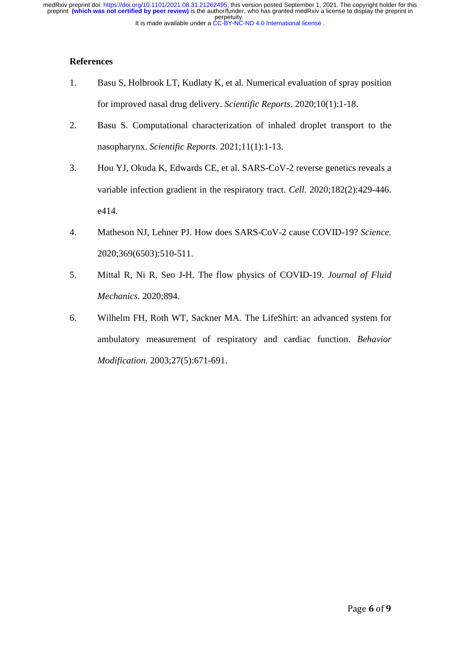# **References**

- <span id="page-5-0"></span>1. Basu S, Holbrook LT, Kudlaty K, et al. Numerical evaluation of spray position for improved nasal drug delivery. *Scientific Reports.* 2020;10(1):1-18.
- <span id="page-5-1"></span>2. Basu S. Computational characterization of inhaled droplet transport to the nasopharynx. *Scientific Reports.* 2021;11(1):1-13.
- 3. Hou YJ, Okuda K, Edwards CE, et al. SARS-CoV-2 reverse genetics reveals a variable infection gradient in the respiratory tract. *Cell.* 2020;182(2):429-446. e414.
- 4. Matheson NJ, Lehner PJ. How does SARS-CoV-2 cause COVID-19? *Science.*  2020;369(6503):510-511.
- 5. Mittal R, Ni R, Seo J-H. The flow physics of COVID-19. *Journal of Fluid Mechanics.* 2020;894.
- <span id="page-5-2"></span>6. Wilhelm FH, Roth WT, Sackner MA. The LifeShirt: an advanced system for ambulatory measurement of respiratory and cardiac function. *Behavior Modification.* 2003;27(5):671-691.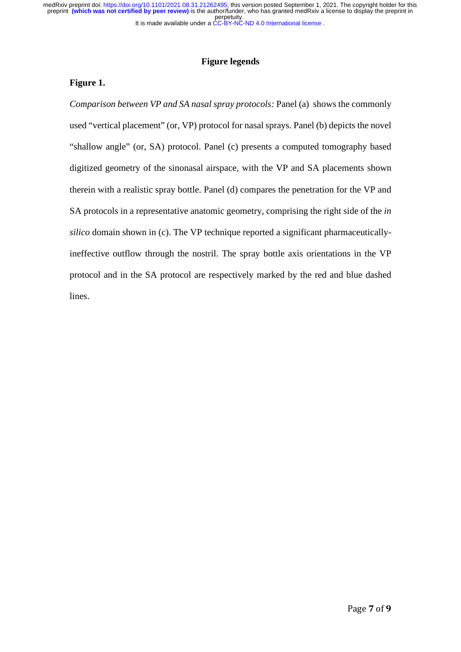It is made available under a [CC-BY-NC-ND 4.0 International license](http://creativecommons.org/licenses/by-nc-nd/4.0/) . perpetuity. medRxiv preprint doi: [https://doi.org/10.1101/2021.08.31.21262495;](https://doi.org/10.1101/2021.08.31.21262495) this version posted September 1, 2021. The copyright holder for this<br>preprint **(which was not certified by peer review)** is the author/funder, who has gra

# **Figure legends**

## **Figure 1.**

*Comparison between VP and SA nasal spray protocols:* Panel (a) shows the commonly used "vertical placement" (or, VP) protocol for nasal sprays. Panel (b) depicts the novel "shallow angle" (or, SA) protocol. Panel (c) presents a computed tomography based digitized geometry of the sinonasal airspace, with the VP and SA placements shown therein with a realistic spray bottle. Panel (d) compares the penetration for the VP and SA protocols in a representative anatomic geometry, comprising the right side of the *in silico* domain shown in (c). The VP technique reported a significant pharmaceuticallyineffective outflow through the nostril. The spray bottle axis orientations in the VP protocol and in the SA protocol are respectively marked by the red and blue dashed lines.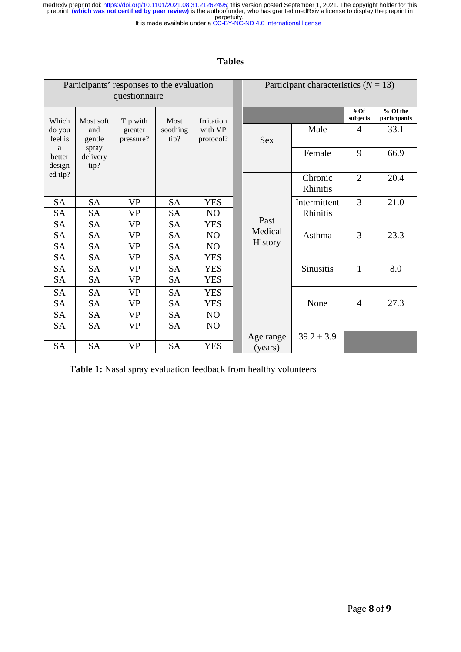perpetuity. medRxiv preprint doi: [https://doi.org/10.1101/2021.08.31.21262495;](https://doi.org/10.1101/2021.08.31.21262495) this version posted September 1, 2021. The copyright holder for this<br>preprint **(which was not certified by peer review)** is the author/funder, who has gra

#### It is made available under a [CC-BY-NC-ND 4.0 International license](http://creativecommons.org/licenses/by-nc-nd/4.0/) .

# **Tables**

| Participants' responses to the evaluation<br>questionnaire |                           |                      |                  |                      |  | Participant characteristics $(N = 13)$ |                     |                    |                          |  |
|------------------------------------------------------------|---------------------------|----------------------|------------------|----------------------|--|----------------------------------------|---------------------|--------------------|--------------------------|--|
| Which                                                      | Most soft                 | Tip with<br>Most     |                  | Irritation           |  |                                        |                     | # $Of$<br>subjects | % Of the<br>participants |  |
| do you<br>feel is                                          | and<br>gentle             | greater<br>pressure? | soothing<br>tip? | with VP<br>protocol? |  | <b>Sex</b>                             | Male                | $\overline{4}$     | 33.1                     |  |
| a<br>better<br>design                                      | spray<br>delivery<br>tip? |                      |                  |                      |  |                                        | Female              | 9                  | 66.9                     |  |
| ed tip?                                                    |                           |                      |                  |                      |  | Past<br>Medical                        | Chronic<br>Rhinitis | $\overline{2}$     | 20.4                     |  |
| <b>SA</b>                                                  | <b>SA</b>                 | <b>VP</b>            | <b>SA</b>        | <b>YES</b>           |  |                                        | Intermittent        | 3                  | 21.0                     |  |
| <b>SA</b>                                                  | <b>SA</b>                 | <b>VP</b>            | <b>SA</b>        | N <sub>O</sub>       |  |                                        | Rhinitis            |                    |                          |  |
| <b>SA</b>                                                  | <b>SA</b>                 | <b>VP</b>            | <b>SA</b>        | <b>YES</b>           |  |                                        |                     |                    |                          |  |
| <b>SA</b>                                                  | <b>SA</b>                 | <b>VP</b>            | <b>SA</b>        | NO                   |  |                                        | Asthma              | 3                  | 23.3                     |  |
| <b>SA</b>                                                  | <b>SA</b>                 | <b>VP</b>            | <b>SA</b>        | NO                   |  | <b>History</b>                         |                     |                    |                          |  |
| <b>SA</b>                                                  | <b>SA</b>                 | <b>VP</b>            | <b>SA</b>        | <b>YES</b>           |  |                                        |                     |                    |                          |  |
| <b>SA</b>                                                  | <b>SA</b>                 | <b>VP</b>            | <b>SA</b>        | <b>YES</b>           |  |                                        | <b>Sinusitis</b>    | 1                  | 8.0                      |  |
| <b>SA</b>                                                  | <b>SA</b>                 | <b>VP</b>            | <b>SA</b>        | <b>YES</b>           |  |                                        |                     |                    |                          |  |
| <b>SA</b>                                                  | <b>SA</b>                 | <b>VP</b>            | <b>SA</b>        | <b>YES</b>           |  |                                        |                     |                    |                          |  |
| <b>SA</b>                                                  | <b>SA</b>                 | <b>VP</b>            | <b>SA</b>        | <b>YES</b>           |  |                                        | None                | 4                  | 27.3                     |  |
| <b>SA</b>                                                  | <b>SA</b>                 | <b>VP</b>            | <b>SA</b>        | NO                   |  |                                        |                     |                    |                          |  |
| <b>SA</b>                                                  | <b>SA</b>                 | <b>VP</b>            | <b>SA</b>        | N <sub>O</sub>       |  |                                        |                     |                    |                          |  |
|                                                            |                           |                      |                  |                      |  | Age range                              | $39.2 \pm 3.9$      |                    |                          |  |
| <b>SA</b>                                                  | <b>SA</b>                 | <b>VP</b>            | <b>SA</b>        | <b>YES</b>           |  | (years)                                |                     |                    |                          |  |

**Table 1:** Nasal spray evaluation feedback from healthy volunteers